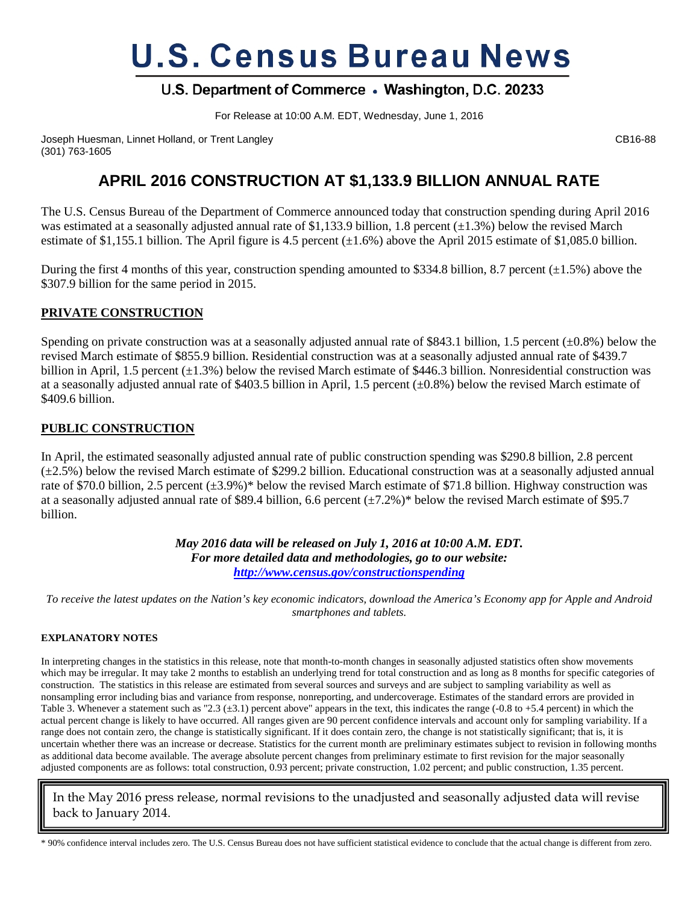# **U.S. Census Bureau News**

# U.S. Department of Commerce . Washington, D.C. 20233

For Release at 10:00 A.M. EDT, Wednesday, June 1, 2016

Joseph Huesman, Linnet Holland, or Trent Langley Cases Control of Cases Control of CB16-88 (301) 763-1605

# **APRIL 2016 CONSTRUCTION AT \$1,133.9 BILLION ANNUAL RATE**

The U.S. Census Bureau of the Department of Commerce announced today that construction spending during April 2016 was estimated at a seasonally adjusted annual rate of \$1,133.9 billion, 1.8 percent  $(\pm 1.3\%)$  below the revised March estimate of \$1,155.1 billion. The April figure is 4.5 percent  $(\pm 1.6\%)$  above the April 2015 estimate of \$1,085.0 billion.

During the first 4 months of this year, construction spending amounted to \$334.8 billion, 8.7 percent  $(\pm 1.5\%)$  above the \$307.9 billion for the same period in 2015.

## **PRIVATE CONSTRUCTION**

Spending on private construction was at a seasonally adjusted annual rate of \$843.1 billion, 1.5 percent  $(\pm 0.8\%)$  below the revised March estimate of \$855.9 billion. Residential construction was at a seasonally adjusted annual rate of \$439.7 billion in April, 1.5 percent  $(\pm 1.3\%)$  below the revised March estimate of \$446.3 billion. Nonresidential construction was at a seasonally adjusted annual rate of \$403.5 billion in April, 1.5 percent  $(\pm 0.8\%)$  below the revised March estimate of \$409.6 billion.

### **PUBLIC CONSTRUCTION**

In April, the estimated seasonally adjusted annual rate of public construction spending was \$290.8 billion, 2.8 percent  $(\pm 2.5\%)$  below the revised March estimate of \$299.2 billion. Educational construction was at a seasonally adjusted annual rate of \$70.0 billion, 2.5 percent (±3.9%)\* below the revised March estimate of \$71.8 billion. Highway construction was at a seasonally adjusted annual rate of \$89.4 billion, 6.6 percent  $(\pm 7.2\%)^*$  below the revised March estimate of \$95.7 billion.

> *May 2016 data will be released on July 1, 2016 at 10:00 A.M. EDT. For more detailed data and methodologies, go to our website: <http://www.census.gov/constructionspending>*

*To receive the latest updates on the Nation's key economic indicators, download the America's Economy app for Apple and Android smartphones and tablets.*

#### **EXPLANATORY NOTES**

In interpreting changes in the statistics in this release, note that month-to-month changes in seasonally adjusted statistics often show movements which may be irregular. It may take 2 months to establish an underlying trend for total construction and as long as 8 months for specific categories of construction. The statistics in this release are estimated from several sources and surveys and are subject to sampling variability as well as nonsampling error including bias and variance from response, nonreporting, and undercoverage. Estimates of the standard errors are provided in Table 3. Whenever a statement such as "2.3 ( $\pm$ 3.1) percent above" appears in the text, this indicates the range (-0.8 to +5.4 percent) in which the actual percent change is likely to have occurred. All ranges given are 90 percent confidence intervals and account only for sampling variability. If a range does not contain zero, the change is statistically significant. If it does contain zero, the change is not statistically significant; that is, it is uncertain whether there was an increase or decrease. Statistics for the current month are preliminary estimates subject to revision in following months as additional data become available. The average absolute percent changes from preliminary estimate to first revision for the major seasonally adjusted components are as follows: total construction, 0.93 percent; private construction, 1.02 percent; and public construction, 1.35 percent.

In the May 2016 press release, normal revisions to the unadjusted and seasonally adjusted data will revise back to January 2014.

\* 90% confidence interval includes zero. The U.S. Census Bureau does not have sufficient statistical evidence to conclude that the actual change is different from zero.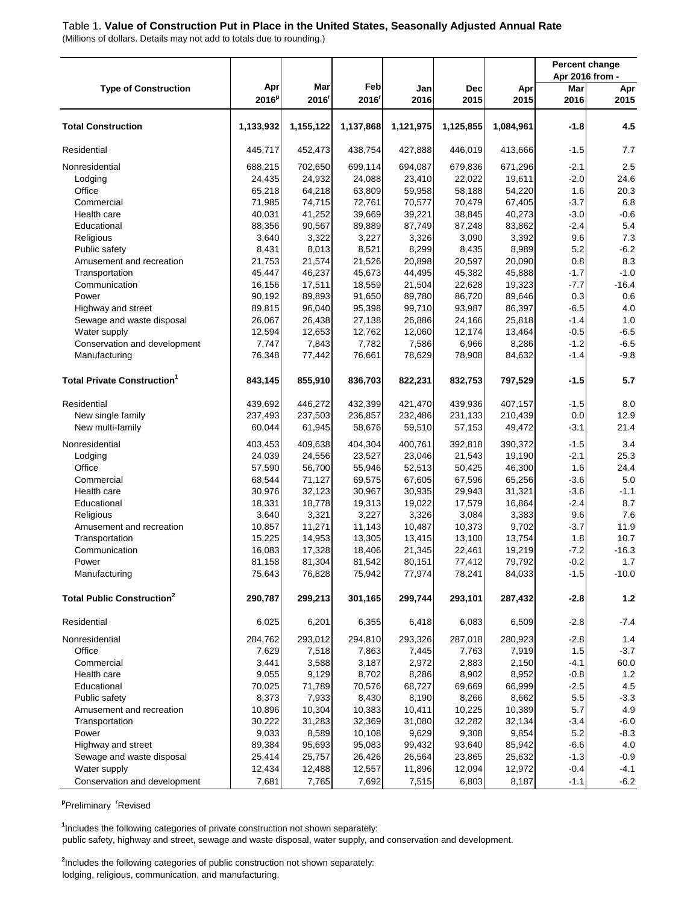## Table 1. **Value of Construction Put in Place in the United States, Seasonally Adjusted Annual Rate**

(Millions of dollars. Details may not add to totals due to rounding.)

|                                                 |                  |                  |                          |                  |                    |                  | Apr 2016 from - | <b>Percent change</b> |
|-------------------------------------------------|------------------|------------------|--------------------------|------------------|--------------------|------------------|-----------------|-----------------------|
| <b>Type of Construction</b>                     | Apr<br>$2016^p$  | Mar<br>2016      | Feb<br>2016 <sup>r</sup> | Jan<br>2016      | <b>Dec</b><br>2015 | Apr<br>2015      | Mar<br>2016     | Apr<br>2015           |
| <b>Total Construction</b>                       | 1,133,932        | 1,155,122        | 1,137,868                | 1,121,975        | 1,125,855          | 1,084,961        | $-1.8$          | 4.5                   |
| Residential                                     | 445,717          | 452,473          | 438,754                  | 427,888          | 446,019            | 413,666          | $-1.5$          | 7.7                   |
| Nonresidential                                  | 688,215          | 702,650          | 699,114                  | 694,087          | 679,836            | 671,296          | $-2.1$          | 2.5                   |
| Lodging                                         | 24,435           | 24,932           | 24,088                   | 23,410           | 22,022             | 19,611           | $-2.0$          | 24.6                  |
| Office                                          | 65,218           | 64,218           | 63,809                   | 59,958           | 58,188             | 54,220           | 1.6             | 20.3                  |
| Commercial                                      | 71,985           | 74,715           | 72,761                   | 70,577           | 70,479             | 67,405           | $-3.7$          | 6.8                   |
| Health care                                     | 40,031           | 41,252           | 39,669                   | 39,221           | 38,845             | 40,273           | $-3.0$          | $-0.6$                |
| Educational                                     | 88,356           | 90,567           | 89,889                   | 87,749           | 87,248             | 83,862           | $-2.4$          | 5.4                   |
| Religious                                       | 3,640            | 3,322            | 3,227                    | 3,326            | 3,090              | 3,392            | 9.6             | 7.3                   |
| Public safety                                   | 8,431            | 8,013            | 8,521                    | 8,299            | 8,435              | 8,989            | 5.2             | $-6.2$                |
| Amusement and recreation                        | 21,753           | 21,574           | 21,526                   | 20,898           | 20,597             | 20,090           | 0.8             | 8.3                   |
| Transportation                                  | 45,447           | 46,237           | 45,673                   | 44,495           | 45,382             | 45,888           | $-1.7$          | $-1.0$                |
| Communication                                   | 16,156           | 17,511           | 18,559                   | 21,504           | 22,628             | 19,323           | $-7.7$          | $-16.4$               |
| Power                                           | 90,192           | 89,893           | 91,650<br>95,398         | 89,780           | 86,720             | 89,646           | 0.3<br>$-6.5$   | 0.6<br>4.0            |
| Highway and street<br>Sewage and waste disposal | 89,815<br>26,067 | 96,040<br>26,438 |                          | 99,710<br>26,886 | 93,987<br>24,166   | 86,397           | $-1.4$          | $1.0$                 |
| Water supply                                    | 12,594           | 12,653           | 27,138<br>12,762         | 12,060           | 12,174             | 25,818<br>13,464 | $-0.5$          | $-6.5$                |
| Conservation and development                    | 7,747            | 7,843            | 7,782                    | 7,586            | 6,966              | 8,286            | $-1.2$          | $-6.5$                |
| Manufacturing                                   | 76,348           | 77,442           | 76,661                   | 78,629           | 78,908             | 84,632           | $-1.4$          | $-9.8$                |
|                                                 |                  |                  |                          |                  |                    |                  |                 |                       |
| <b>Total Private Construction</b>               | 843,145          | 855,910          | 836,703                  | 822,231          | 832,753            | 797,529          | $-1.5$          | 5.7                   |
| Residential                                     | 439,692          | 446,272          | 432,399                  | 421,470          | 439,936            | 407,157          | $-1.5$          | 8.0                   |
| New single family                               | 237,493          | 237,503          | 236,857                  | 232,486          | 231,133            | 210,439          | 0.0             | 12.9                  |
| New multi-family                                | 60,044           | 61,945           | 58,676                   | 59,510           | 57,153             | 49,472           | $-3.1$          | 21.4                  |
| Nonresidential                                  | 403,453          | 409,638          | 404,304                  | 400,761          | 392,818            | 390,372          | $-1.5$          | 3.4                   |
| Lodging                                         | 24,039           | 24,556           | 23,527                   | 23,046           | 21,543             | 19,190           | $-2.1$          | 25.3                  |
| Office                                          | 57,590           | 56,700           | 55,946                   | 52,513           | 50,425             | 46,300           | 1.6             | 24.4                  |
| Commercial                                      | 68,544           | 71,127           | 69,575                   | 67,605           | 67,596             | 65,256           | $-3.6$          | $5.0\,$               |
| Health care                                     | 30,976           | 32,123           | 30,967                   | 30,935           | 29,943             | 31,321           | $-3.6$          | $-1.1$                |
| Educational                                     | 18,331           | 18,778           | 19,313                   | 19,022           | 17,579             | 16,864           | $-2.4$          | 8.7                   |
| Religious                                       | 3,640            | 3,321            | 3,227                    | 3,326            | 3,084              | 3,383            | 9.6             | 7.6                   |
| Amusement and recreation                        | 10,857           | 11,271           | 11,143                   | 10,487           | 10,373             | 9,702            | $-3.7$          | 11.9                  |
| Transportation                                  | 15,225           | 14,953           | 13,305                   | 13,415           | 13,100             | 13,754           | 1.8             | 10.7                  |
| Communication                                   | 16,083           | 17,328           | 18,406                   | 21,345           | 22,461             | 19,219           | $-7.2$          | $-16.3$               |
| Power                                           | 81,158           | 81,304           | 81,542                   | 80,151           | 77,412             | 79,792           | $-0.2$          | 1.7                   |
| Manufacturing                                   | 75,643           | 76,828           | 75,942                   | 77,974           | 78,241             | 84,033           | $-1.5$          | $-10.0$               |
| <b>Total Public Construction<sup>2</sup></b>    | 290,787          | 299,213          | 301,165                  | 299,744          | 293,101            | 287,432          | $-2.8$          | $1.2$                 |
| Residential                                     | 6,025            | 6,201            | 6,355                    | 6,418            | 6,083              | 6,509            | $-2.8$          | $-7.4$                |
| Nonresidential                                  | 284,762          | 293,012          | 294,810                  | 293,326          | 287,018            | 280,923          | $-2.8$          | 1.4                   |
| Office                                          | 7,629            | 7,518            | 7,863                    | 7,445            | 7,763              | 7,919            | 1.5             | $-3.7$                |
| Commercial                                      | 3,441            | 3,588            | 3,187                    | 2,972            | 2,883              | 2,150            | $-4.1$          | 60.0                  |
| Health care                                     | 9,055            | 9,129            | 8,702                    | 8,286            | 8,902              | 8,952            | $-0.8$          | 1.2                   |
| Educational                                     | 70,025           | 71,789           | 70,576                   | 68,727           | 69,669             | 66,999           | $-2.5$          | $4.5\,$               |
| Public safety                                   | 8,373            | 7,933            | 8,430                    | 8,190            | 8,266              | 8,662            | 5.5             | $-3.3$                |
| Amusement and recreation                        | 10,896           | 10,304           | 10,383                   | 10,411           | 10,225             | 10,389           | 5.7             | 4.9                   |
| Transportation                                  | 30,222           | 31,283           | 32,369                   | 31,080           | 32,282             | 32,134           | $-3.4$          | $-6.0$                |
| Power                                           | 9,033            | 8,589            | 10,108                   | 9,629            | 9,308              | 9,854            | 5.2             | $-8.3$                |
| Highway and street                              | 89,384           | 95,693           | 95,083                   | 99,432           | 93,640             | 85,942           | $-6.6$          | 4.0                   |
| Sewage and waste disposal                       | 25,414           | 25,757           | 26,426                   | 26,564           | 23,865             | 25,632           | $-1.3$          | $-0.9$                |
| Water supply                                    | 12,434           | 12,488           | 12,557                   | 11,896           | 12,094             | 12,972           | $-0.4$          | $-4.1$                |
| Conservation and development                    | 7,681            | 7,765            | 7,692                    | 7,515            | 6,803              | 8,187            | $-1.1$          | $-6.2$                |

**p** Preliminary **<sup>r</sup>** Revised

public safety, highway and street, sewage and waste disposal, water supply, and conservation and development. **1** Includes the following categories of private construction not shown separately:

**2** Includes the following categories of public construction not shown separately: lodging, religious, communication, and manufacturing.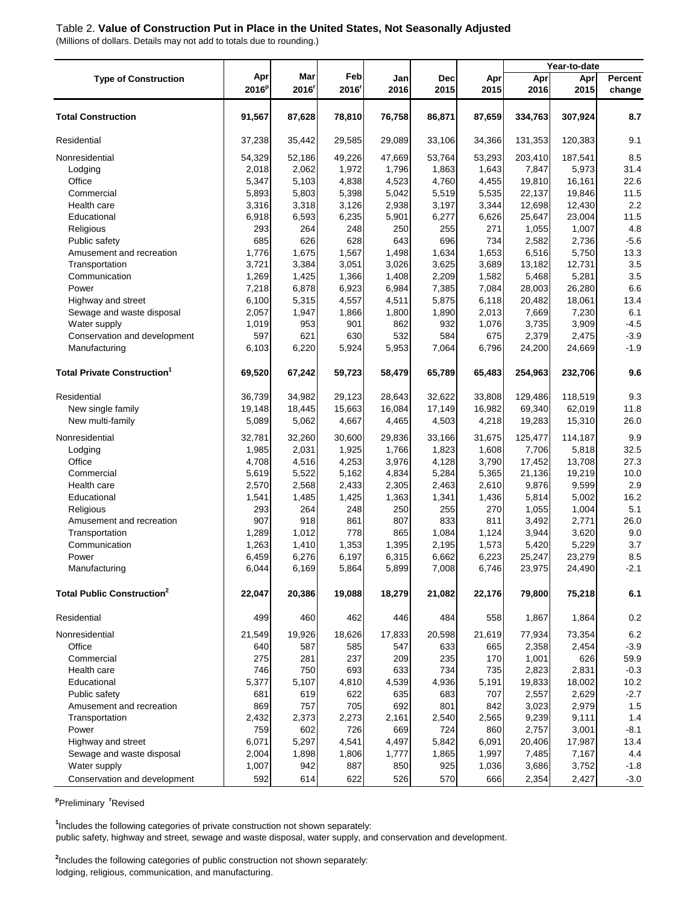#### Table 2. **Value of Construction Put in Place in the United States, Not Seasonally Adjusted**

(Millions of dollars. Details may not add to totals due to rounding.)

|                                               |                 |              |             |             |                    |             | Year-to-date |             |                   |
|-----------------------------------------------|-----------------|--------------|-------------|-------------|--------------------|-------------|--------------|-------------|-------------------|
| <b>Type of Construction</b>                   | Apr<br>$2016^p$ | Mar<br>2016' | Feb<br>2016 | Jan<br>2016 | <b>Dec</b><br>2015 | Apr<br>2015 | Apr<br>2016  | Apr<br>2015 | Percent<br>change |
| <b>Total Construction</b>                     | 91,567          | 87,628       | 78,810      | 76,758      | 86,871             | 87,659      | 334,763      | 307,924     | 8.7               |
| Residential                                   | 37,238          | 35,442       | 29,585      | 29,089      | 33,106             | 34,366      | 131,353      | 120,383     | 9.1               |
| Nonresidential                                | 54,329          | 52,186       | 49,226      | 47,669      | 53,764             | 53,293      | 203,410      | 187,541     | 8.5               |
| Lodging                                       | 2,018           | 2,062        | 1,972       | 1,796       | 1,863              | 1,643       | 7,847        | 5,973       | 31.4              |
| Office                                        | 5,347           | 5,103        | 4,838       | 4,523       | 4,760              | 4,455       | 19,810       | 16,161      | 22.6              |
| Commercial                                    | 5,893           | 5,803        | 5,398       | 5,042       | 5,519              | 5,535       | 22,137       | 19,846      | 11.5              |
| Health care                                   | 3,316           | 3,318        | 3,126       | 2,938       | 3,197              | 3,344       | 12,698       | 12,430      | 2.2               |
| Educational                                   | 6,918           | 6,593        | 6,235       | 5,901       | 6,277              | 6,626       | 25,647       | 23,004      | 11.5              |
| Religious                                     | 293             | 264          | 248         | 250         | 255                | 271         | 1,055        | 1,007       | 4.8               |
| Public safety                                 | 685             | 626          | 628         | 643         | 696                | 734         | 2,582        | 2,736       | $-5.6$            |
| Amusement and recreation                      | 1,776           | 1,675        | 1,567       | 1,498       | 1,634              | 1,653       | 6,516        | 5,750       | 13.3              |
| Transportation                                | 3,721           | 3,384        | 3,051       | 3,026       | 3,625              | 3,689       | 13,182       | 12,731      | 3.5               |
| Communication                                 | 1,269           | 1,425        | 1,366       | 1,408       | 2,209              | 1,582       | 5,468        | 5,281       | 3.5               |
| Power                                         | 7,218           | 6,878        | 6,923       | 6,984       | 7,385              | 7,084       | 28,003       | 26,280      | 6.6               |
| Highway and street                            | 6,100           | 5,315        | 4,557       | 4,511       | 5,875              | 6,118       | 20,482       | 18,061      | 13.4              |
| Sewage and waste disposal                     | 2,057           | 1,947        | 1,866       | 1,800       | 1,890              | 2,013       | 7,669        | 7,230       | 6.1               |
| Water supply                                  | 1,019           | 953          | 901         | 862         | 932                | 1,076       | 3,735        | 3,909       | $-4.5$            |
| Conservation and development                  | 597             | 621          | 630         | 532         | 584                | 675         | 2,379        | 2,475       | $-3.9$            |
| Manufacturing                                 | 6,103           | 6,220        | 5,924       | 5,953       | 7,064              | 6,796       | 24,200       | 24,669      | $-1.9$            |
| <b>Total Private Construction<sup>1</sup></b> | 69,520          | 67,242       | 59,723      | 58,479      | 65,789             | 65,483      | 254,963      | 232,706     | 9.6               |
| Residential                                   | 36,739          | 34,982       | 29,123      | 28,643      | 32,622             | 33,808      | 129,486      | 118,519     | 9.3               |
| New single family                             | 19,148          | 18,445       | 15,663      | 16,084      | 17,149             | 16,982      | 69,340       | 62,019      | 11.8              |
| New multi-family                              | 5,089           | 5,062        | 4,667       | 4,465       | 4,503              | 4,218       | 19,283       | 15,310      | 26.0              |
| Nonresidential                                | 32,781          | 32,260       | 30,600      | 29,836      | 33,166             | 31,675      | 125,477      | 114,187     | 9.9               |
| Lodging                                       | 1,985           | 2,031        | 1,925       | 1,766       | 1,823              | 1,608       | 7,706        | 5,818       | 32.5              |
| Office                                        | 4,708           | 4,516        | 4,253       | 3,976       | 4,128              | 3,790       | 17,452       | 13,708      | 27.3              |
| Commercial                                    | 5,619           | 5,522        | 5,162       | 4,834       | 5,284              | 5,365       | 21,136       | 19,219      | 10.0              |
| Health care                                   | 2,570           | 2,568        | 2,433       | 2,305       | 2,463              | 2,610       | 9,876        | 9,599       | 2.9               |
| Educational                                   | 1,541           | 1,485        | 1,425       | 1,363       | 1,341              | 1,436       | 5,814        | 5,002       | 16.2              |
| Religious                                     | 293             | 264          | 248         | 250         | 255                | 270         | 1,055        | 1,004       | 5.1               |
| Amusement and recreation                      | 907             | 918          | 861         | 807         | 833                | 811         | 3,492        | 2,771       | 26.0              |
| Transportation                                | 1,289           | 1,012        | 778         | 865         | 1,084              | 1,124       | 3,944        | 3,620       | 9.0               |
| Communication                                 | 1,263           | 1,410        | 1,353       | 1,395       | 2,195              | 1,573       | 5,420        | 5,229       | 3.7               |
| Power                                         | 6,459           | 6,276        | 6,197       | 6,315       | 6,662              | 6,223       | 25,247       | 23,279      | 8.5               |
| Manufacturing                                 | 6,044           | 6,169        | 5,864       | 5,899       | 7,008              | 6,746       | 23,975       | 24,490      | $-2.1$            |
| <b>Total Public Construction<sup>2</sup></b>  | 22,047          | 20,386       | 19,088      | 18,279      | 21,082             | 22,176      | 79,800       | 75,218      | 6.1               |
| Residential                                   | 499             | 460          | 462         | 446         | 484                | 558         | 1,867        | 1,864       | 0.2               |
| Nonresidential                                | 21,549          | 19,926       | 18,626      | 17,833      | 20,598             | 21,619      | 77,934       | 73,354      | 6.2               |
| Office                                        | 640             | 587          | 585         | 547         | 633                | 665         | 2,358        | 2,454       | $-3.9$            |
| Commercial                                    | 275             | 281          | 237         | 209         | 235                | 170         | 1,001        | 626         | 59.9              |
| Health care                                   | 746             | 750          | 693         | 633         | 734                | 735         | 2,823        | 2,831       | $-0.3$            |
| Educational                                   | 5,377           | 5,107        | 4,810       | 4,539       | 4,936              | 5,191       | 19,833       | 18,002      | 10.2              |
| Public safety                                 | 681             | 619          | 622         | 635         | 683                | 707         | 2,557        | 2,629       | $-2.7$            |
| Amusement and recreation                      | 869             | 757          | 705         | 692         | 801                | 842         | 3,023        | 2,979       | 1.5               |
| Transportation                                | 2,432           | 2,373        | 2,273       | 2,161       | 2,540              | 2,565       | 9,239        | 9,111       | 1.4               |
| Power                                         | 759             | 602          | 726         | 669         | 724                | 860         | 2,757        | 3,001       | $-8.1$            |
| Highway and street                            | 6,071           | 5,297        | 4,541       | 4,497       | 5,842              | 6,091       | 20,406       | 17,987      | 13.4              |
| Sewage and waste disposal                     | 2,004           | 1,898        | 1,806       | 1,777       | 1,865              | 1,997       | 7,485        | 7,167       | 4.4               |
| Water supply                                  | 1,007           | 942          | 887         | 850         | 925                | 1,036       | 3,686        | 3,752       | $-1.8$            |
| Conservation and development                  | 592             | 614          | 622         | 526         | 570                | 666         | 2,354        | 2,427       | $-3.0$            |

**p** Preliminary **<sup>r</sup>** Revised

public safety, highway and street, sewage and waste disposal, water supply, and conservation and development. **1** Includes the following categories of private construction not shown separately:

**2** Includes the following categories of public construction not shown separately: lodging, religious, communication, and manufacturing.